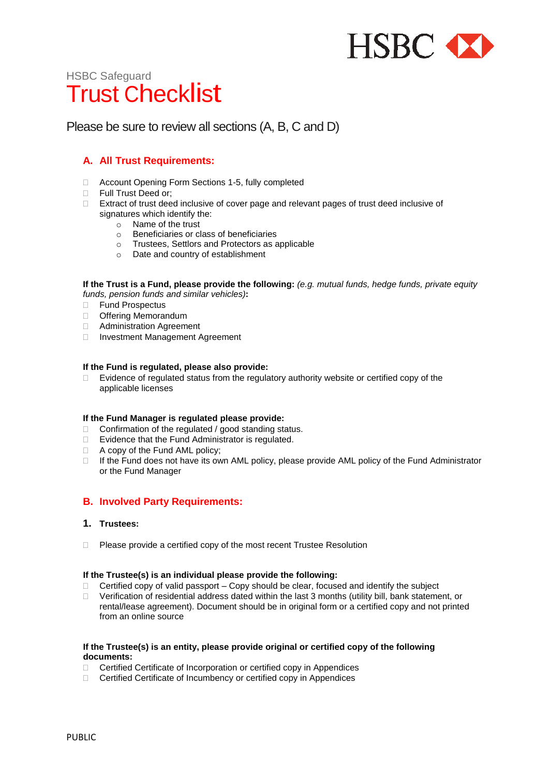

# HSBC Safeguard Trust Checklist

# Please be sure to review all sections (A, B, C and D)

# **A. All Trust Requirements:**

- □ Account Opening Form Sections 1-5, fully completed
- **Full Trust Deed or;**
- □ Extract of trust deed inclusive of cover page and relevant pages of trust deed inclusive of signatures which identify the:
	- o Name of the trust
	- o Beneficiaries or class of beneficiaries
	- o Trustees, Settlors and Protectors as applicable
	- o Date and country of establishment

**If the Trust is a Fund, please provide the following:** *(e.g. mutual funds, hedge funds, private equity funds, pension funds and similar vehicles)***:** 

- □ Fund Prospectus
- Offering Memorandum
- **E** Administration Agreement
- □ Investment Management Agreement

#### **If the Fund is regulated, please also provide:**

 $\Box$  Evidence of regulated status from the regulatory authority website or certified copy of the applicable licenses

#### **If the Fund Manager is regulated please provide:**

- $\Box$  Confirmation of the regulated / good standing status.
- □ Evidence that the Fund Administrator is regulated.
- □ A copy of the Fund AML policy;
- □ If the Fund does not have its own AML policy, please provide AML policy of the Fund Administrator or the Fund Manager

# **B. Involved Party Requirements:**

# **1. Trustees:**

 $\Box$  Please provide a certified copy of the most recent Trustee Resolution

#### **If the Trustee(s) is an individual please provide the following:**

- $\Box$  Certified copy of valid passport Copy should be clear, focused and identify the subject
- $\Box$  Verification of residential address dated within the last 3 months (utility bill, bank statement, or rental/lease agreement). Document should be in original form or a certified copy and not printed from an online source

#### **If the Trustee(s) is an entity, please provide original or certified copy of the following documents:**

- □ Certified Certificate of Incorporation or certified copy in Appendices
- □ Certified Certificate of Incumbency or certified copy in Appendices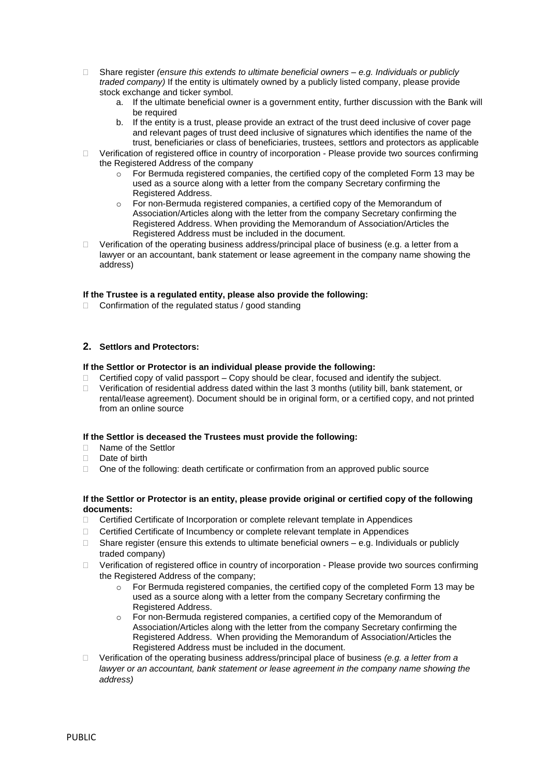- Share register *(ensure this extends to ultimate beneficial owners – e.g. Individuals or publicly traded company)* If the entity is ultimately owned by a publicly listed company, please provide stock exchange and ticker symbol.
	- a. If the ultimate beneficial owner is a government entity, further discussion with the Bank will be required
	- b. If the entity is a trust, please provide an extract of the trust deed inclusive of cover page and relevant pages of trust deed inclusive of signatures which identifies the name of the trust, beneficiaries or class of beneficiaries, trustees, settlors and protectors as applicable
- $\Box$  Verification of registered office in country of incorporation Please provide two sources confirming the Registered Address of the company
	- For Bermuda registered companies, the certified copy of the completed Form 13 may be used as a source along with a letter from the company Secretary confirming the Registered Address.
	- For non-Bermuda registered companies, a certified copy of the Memorandum of Association/Articles along with the letter from the company Secretary confirming the Registered Address. When providing the Memorandum of Association/Articles the Registered Address must be included in the document.
- $\Box$  Verification of the operating business address/principal place of business (e.g. a letter from a lawyer or an accountant, bank statement or lease agreement in the company name showing the address)

## **If the Trustee is a regulated entity, please also provide the following:**

 $\Box$  Confirmation of the regulated status / good standing

## **2. Settlors and Protectors:**

#### **If the Settlor or Protector is an individual please provide the following:**

- $\Box$  Certified copy of valid passport Copy should be clear, focused and identify the subject.
- □ Verification of residential address dated within the last 3 months (utility bill, bank statement, or rental/lease agreement). Document should be in original form, or a certified copy, and not printed from an online source

#### **If the Settlor is deceased the Trustees must provide the following:**

- □ Name of the Settlor
- Date of birth
- $\Box$  One of the following: death certificate or confirmation from an approved public source

#### **If the Settlor or Protector is an entity, please provide original or certified copy of the following documents:**

- Certified Certificate of Incorporation or complete relevant template in Appendices
- □ Certified Certificate of Incumbency or complete relevant template in Appendices
- $\Box$  Share register (ensure this extends to ultimate beneficial owners  $-e.g.$  Individuals or publicly traded company)
- $\Box$  Verification of registered office in country of incorporation Please provide two sources confirming the Registered Address of the company;
	- For Bermuda registered companies, the certified copy of the completed Form 13 may be used as a source along with a letter from the company Secretary confirming the Registered Address.
	- o For non-Bermuda registered companies, a certified copy of the Memorandum of Association/Articles along with the letter from the company Secretary confirming the Registered Address. When providing the Memorandum of Association/Articles the Registered Address must be included in the document.
- Verification of the operating business address/principal place of business *(e.g. a letter from a lawyer or an accountant, bank statement or lease agreement in the company name showing the address)*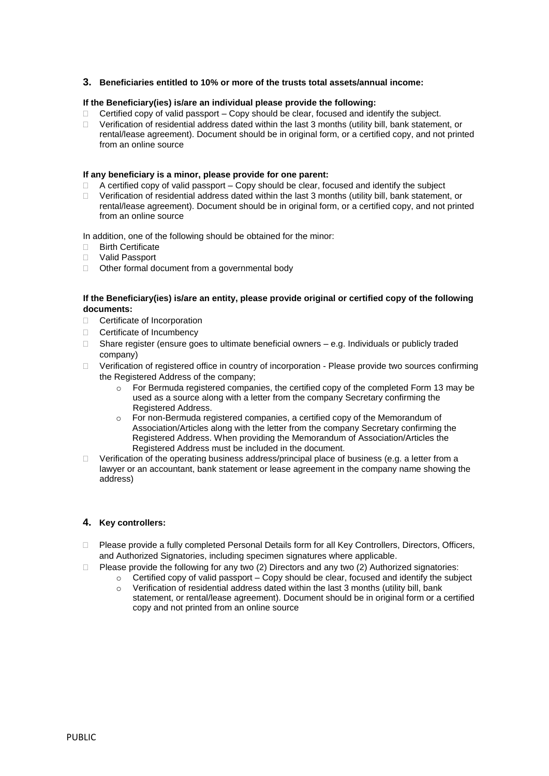## **3. Beneficiaries entitled to 10% or more of the trusts total assets/annual income:**

#### **If the Beneficiary(ies) is/are an individual please provide the following:**

- $\Box$  Certified copy of valid passport Copy should be clear, focused and identify the subject.
- $\Box$  Verification of residential address dated within the last 3 months (utility bill, bank statement, or rental/lease agreement). Document should be in original form, or a certified copy, and not printed from an online source

#### **If any beneficiary is a minor, please provide for one parent:**

- $\Box$  A certified copy of valid passport Copy should be clear, focused and identify the subject
- $\Box$  Verification of residential address dated within the last 3 months (utility bill, bank statement, or rental/lease agreement). Document should be in original form, or a certified copy, and not printed from an online source

In addition, one of the following should be obtained for the minor:

- □ Birth Certificate
- Valid Passport
- □ Other formal document from a governmental body

#### **If the Beneficiary(ies) is/are an entity, please provide original or certified copy of the following documents:**

- □ Certificate of Incorporation
- □ Certificate of Incumbency
- $\Box$  Share register (ensure goes to ultimate beneficial owners e.g. Individuals or publicly traded company)
- □ Verification of registered office in country of incorporation Please provide two sources confirming the Registered Address of the company;
	- $\circ$  For Bermuda registered companies, the certified copy of the completed Form 13 may be used as a source along with a letter from the company Secretary confirming the Registered Address.
	- o For non-Bermuda registered companies, a certified copy of the Memorandum of Association/Articles along with the letter from the company Secretary confirming the Registered Address. When providing the Memorandum of Association/Articles the Registered Address must be included in the document.
- $\Box$  Verification of the operating business address/principal place of business (e.g. a letter from a lawyer or an accountant, bank statement or lease agreement in the company name showing the address)

#### **4. Key controllers:**

- □ Please provide a fully completed Personal Details form for all Key Controllers, Directors, Officers, and Authorized Signatories, including specimen signatures where applicable.
- $\Box$  Please provide the following for any two (2) Directors and any two (2) Authorized signatories:
	- $\circ$  Certified copy of valid passport Copy should be clear, focused and identify the subject
	- $\circ$  Verification of residential address dated within the last 3 months (utility bill, bank statement, or rental/lease agreement). Document should be in original form or a certified copy and not printed from an online source